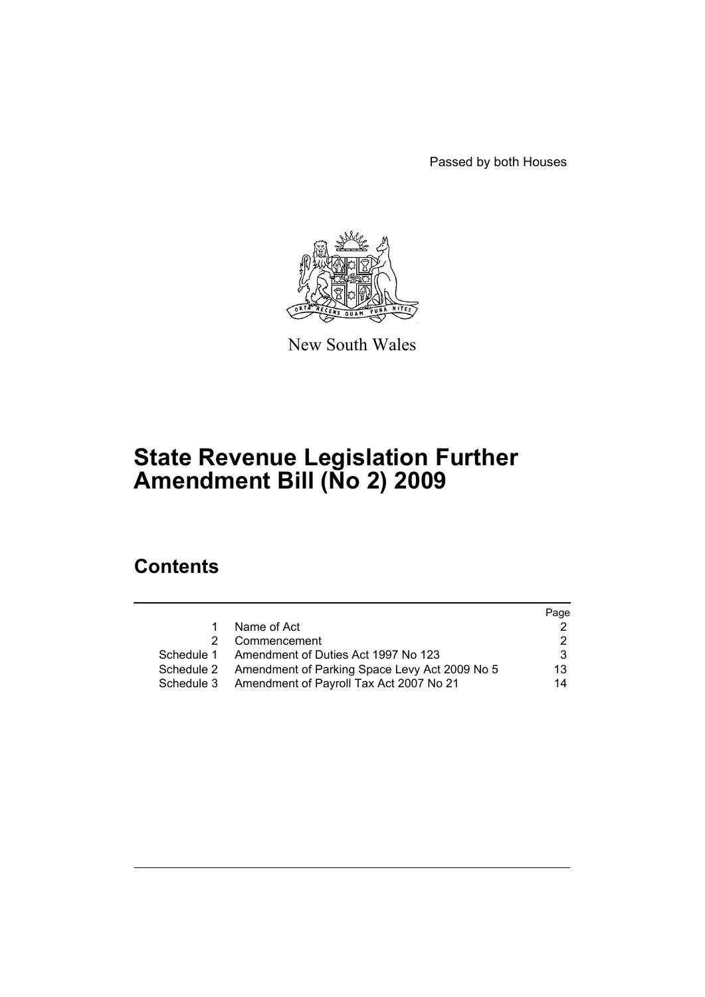Passed by both Houses



New South Wales

# **State Revenue Legislation Further Amendment Bill (No 2) 2009**

# **Contents**

|    |                                                          | Page |
|----|----------------------------------------------------------|------|
| 1. | Name of Act                                              |      |
| 2  | Commencement                                             |      |
|    | Schedule 1 Amendment of Duties Act 1997 No 123           | 3    |
|    | Schedule 2 Amendment of Parking Space Levy Act 2009 No 5 | 13   |
|    | Schedule 3 Amendment of Payroll Tax Act 2007 No 21       | 14   |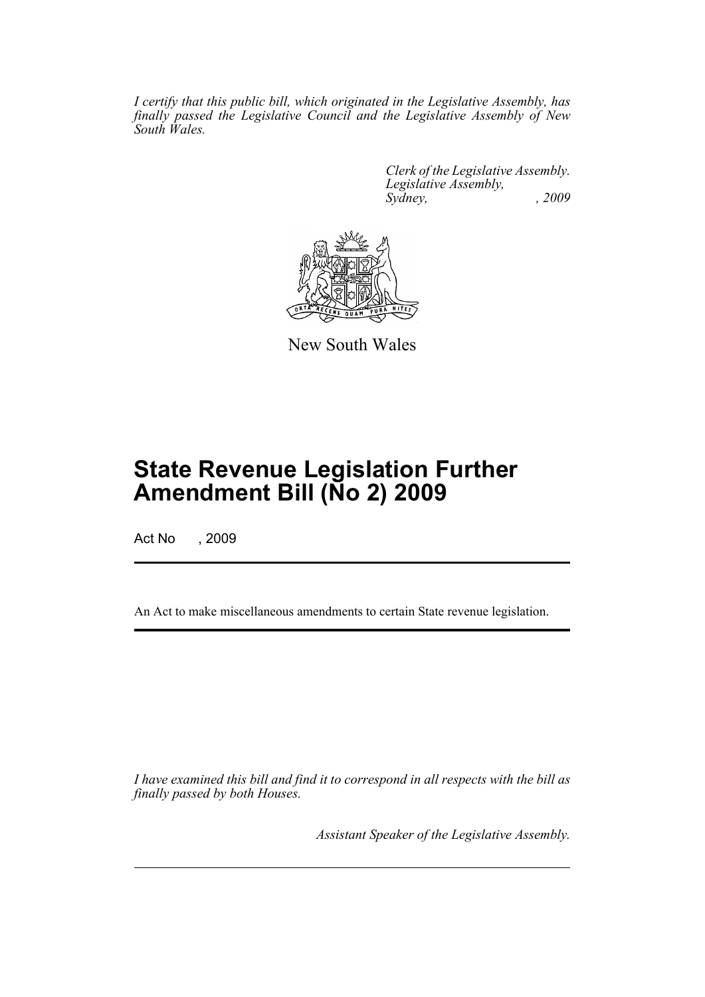*I certify that this public bill, which originated in the Legislative Assembly, has finally passed the Legislative Council and the Legislative Assembly of New South Wales.*

> *Clerk of the Legislative Assembly. Legislative Assembly, Sydney, , 2009*



New South Wales

# **State Revenue Legislation Further Amendment Bill (No 2) 2009**

Act No , 2009

An Act to make miscellaneous amendments to certain State revenue legislation.

*I have examined this bill and find it to correspond in all respects with the bill as finally passed by both Houses.*

*Assistant Speaker of the Legislative Assembly.*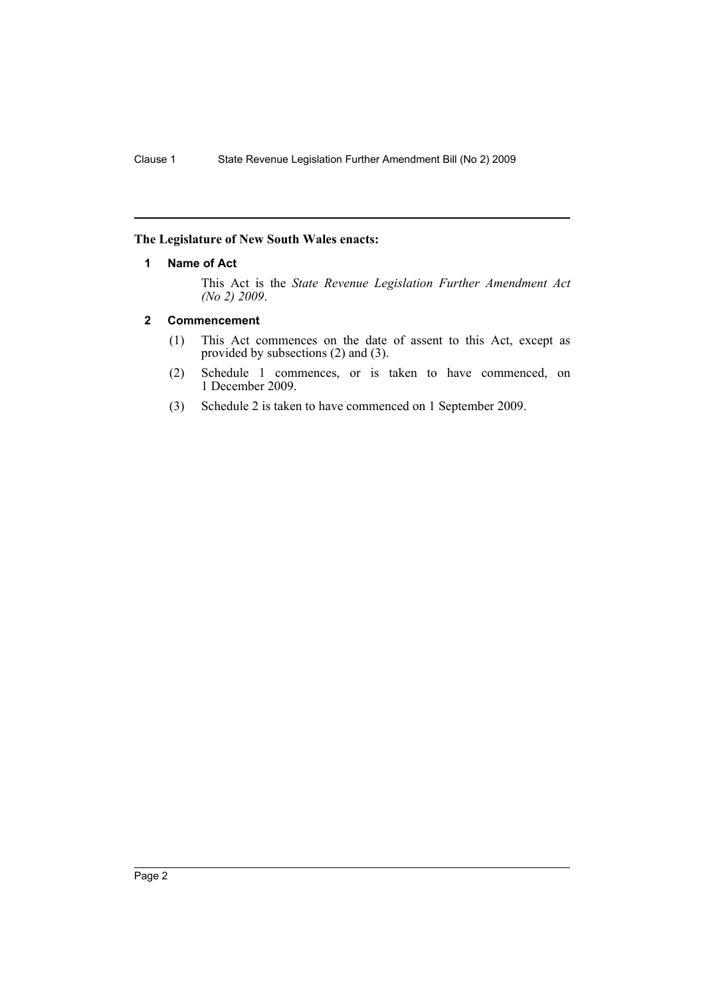# <span id="page-2-0"></span>**The Legislature of New South Wales enacts:**

### **1 Name of Act**

This Act is the *State Revenue Legislation Further Amendment Act (No 2) 2009*.

## <span id="page-2-1"></span>**2 Commencement**

- (1) This Act commences on the date of assent to this Act, except as provided by subsections (2) and (3).
- (2) Schedule 1 commences, or is taken to have commenced, on 1 December 2009.
- (3) Schedule 2 is taken to have commenced on 1 September 2009.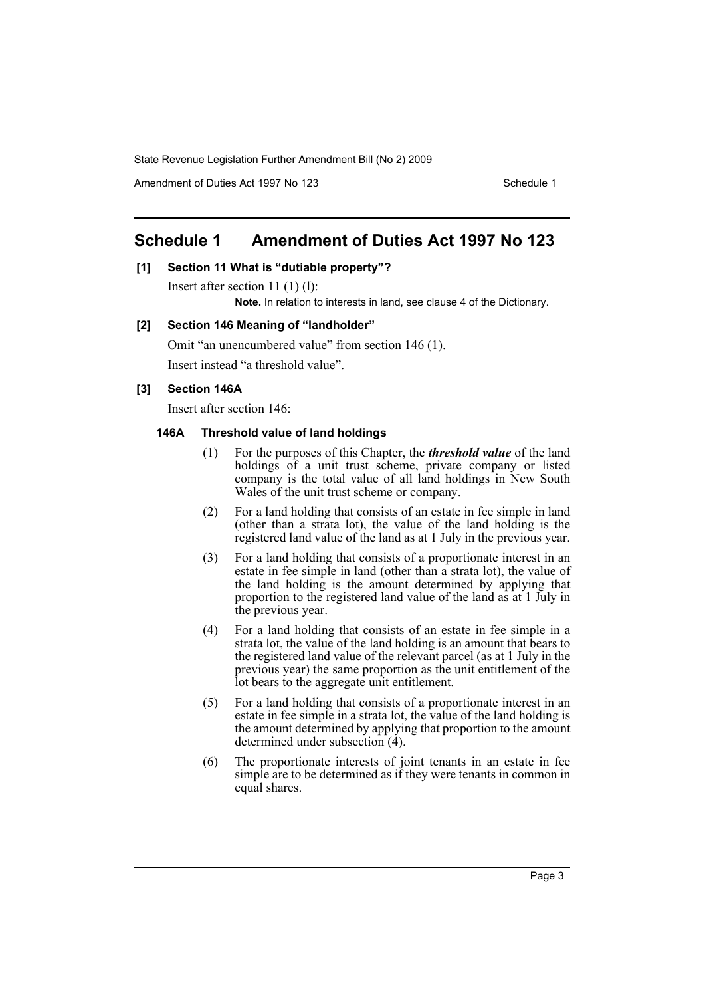Amendment of Duties Act 1997 No 123 Schedule 1

# <span id="page-3-0"></span>**Schedule 1 Amendment of Duties Act 1997 No 123**

## **[1] Section 11 What is "dutiable property"?**

Insert after section 11 (1) (l):

**Note.** In relation to interests in land, see clause 4 of the Dictionary.

#### **[2] Section 146 Meaning of "landholder"**

Omit "an unencumbered value" from section 146 (1). Insert instead "a threshold value".

# **[3] Section 146A**

Insert after section 146:

### **146A Threshold value of land holdings**

- (1) For the purposes of this Chapter, the *threshold value* of the land holdings of a unit trust scheme, private company or listed company is the total value of all land holdings in New South Wales of the unit trust scheme or company.
- (2) For a land holding that consists of an estate in fee simple in land (other than a strata lot), the value of the land holding is the registered land value of the land as at 1 July in the previous year.
- (3) For a land holding that consists of a proportionate interest in an estate in fee simple in land (other than a strata lot), the value of the land holding is the amount determined by applying that proportion to the registered land value of the land as at 1 July in the previous year.
- (4) For a land holding that consists of an estate in fee simple in a strata lot, the value of the land holding is an amount that bears to the registered land value of the relevant parcel (as at 1 July in the previous year) the same proportion as the unit entitlement of the lot bears to the aggregate unit entitlement.
- (5) For a land holding that consists of a proportionate interest in an estate in fee simple in a strata lot, the value of the land holding is the amount determined by applying that proportion to the amount determined under subsection  $(4)$ .
- (6) The proportionate interests of joint tenants in an estate in fee simple are to be determined as if they were tenants in common in equal shares.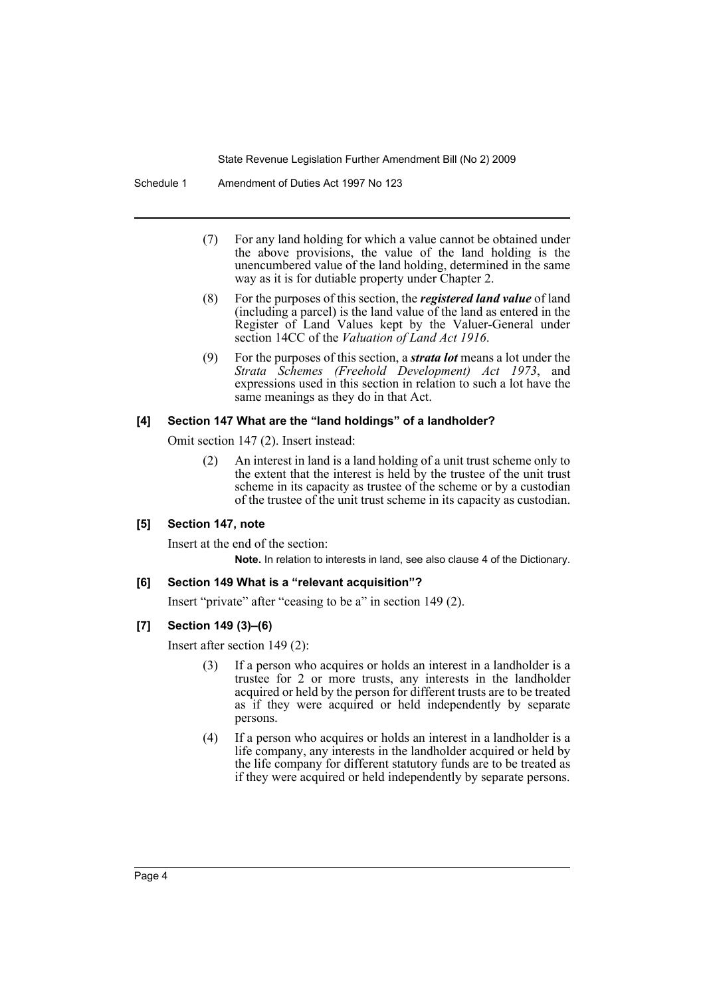Schedule 1 Amendment of Duties Act 1997 No 123

- (7) For any land holding for which a value cannot be obtained under the above provisions, the value of the land holding is the unencumbered value of the land holding, determined in the same way as it is for dutiable property under Chapter 2.
- (8) For the purposes of this section, the *registered land value* of land (including a parcel) is the land value of the land as entered in the Register of Land Values kept by the Valuer-General under section 14CC of the *Valuation of Land Act 1916*.
- (9) For the purposes of this section, a *strata lot* means a lot under the *Strata Schemes (Freehold Development) Act 1973*, and expressions used in this section in relation to such a lot have the same meanings as they do in that Act.

### **[4] Section 147 What are the "land holdings" of a landholder?**

Omit section 147 (2). Insert instead:

(2) An interest in land is a land holding of a unit trust scheme only to the extent that the interest is held by the trustee of the unit trust scheme in its capacity as trustee of the scheme or by a custodian of the trustee of the unit trust scheme in its capacity as custodian.

#### **[5] Section 147, note**

Insert at the end of the section:

**Note.** In relation to interests in land, see also clause 4 of the Dictionary.

#### **[6] Section 149 What is a "relevant acquisition"?**

Insert "private" after "ceasing to be a" in section 149 (2).

# **[7] Section 149 (3)–(6)**

Insert after section 149 (2):

- (3) If a person who acquires or holds an interest in a landholder is a trustee for 2 or more trusts, any interests in the landholder acquired or held by the person for different trusts are to be treated as if they were acquired or held independently by separate persons.
- (4) If a person who acquires or holds an interest in a landholder is a life company, any interests in the landholder acquired or held by the life company for different statutory funds are to be treated as if they were acquired or held independently by separate persons.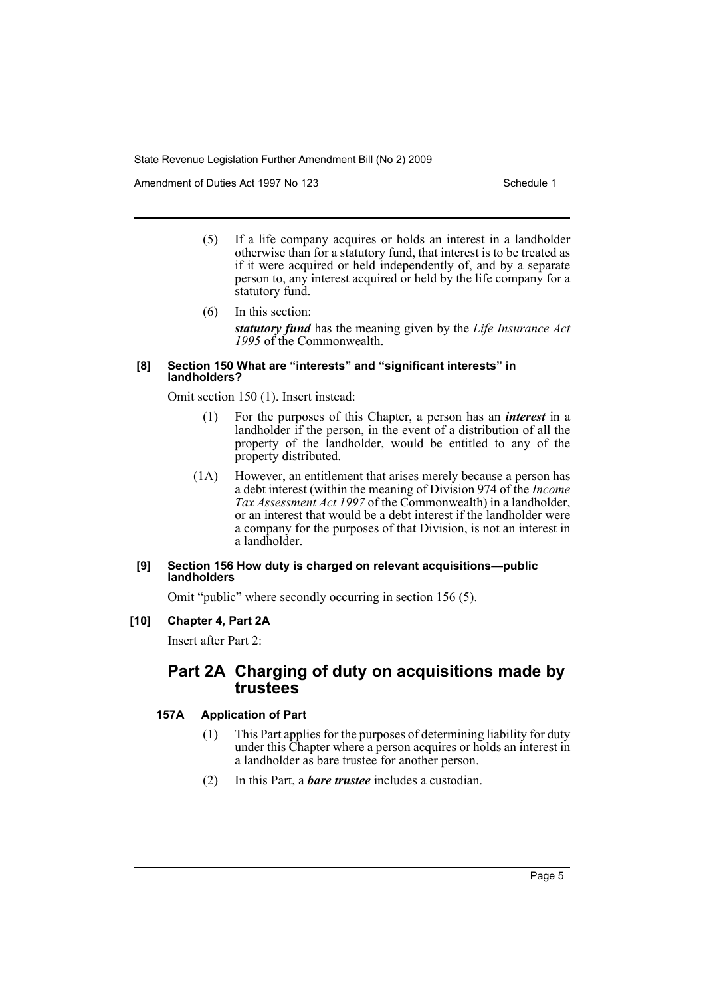Amendment of Duties Act 1997 No 123 Schedule 1

- (5) If a life company acquires or holds an interest in a landholder otherwise than for a statutory fund, that interest is to be treated as if it were acquired or held independently of, and by a separate person to, any interest acquired or held by the life company for a statutory fund.
- (6) In this section: *statutory fund* has the meaning given by the *Life Insurance Act 1995* of the Commonwealth.

#### **[8] Section 150 What are "interests" and "significant interests" in landholders?**

Omit section 150 (1). Insert instead:

- (1) For the purposes of this Chapter, a person has an *interest* in a landholder if the person, in the event of a distribution of all the property of the landholder, would be entitled to any of the property distributed.
- (1A) However, an entitlement that arises merely because a person has a debt interest (within the meaning of Division 974 of the *Income Tax Assessment Act 1997* of the Commonwealth) in a landholder, or an interest that would be a debt interest if the landholder were a company for the purposes of that Division, is not an interest in a landholder.

#### **[9] Section 156 How duty is charged on relevant acquisitions—public landholders**

Omit "public" where secondly occurring in section 156 (5).

## **[10] Chapter 4, Part 2A**

Insert after Part 2:

# **Part 2A Charging of duty on acquisitions made by trustees**

#### **157A Application of Part**

- (1) This Part applies for the purposes of determining liability for duty under this Chapter where a person acquires or holds an interest in a landholder as bare trustee for another person.
- (2) In this Part, a *bare trustee* includes a custodian.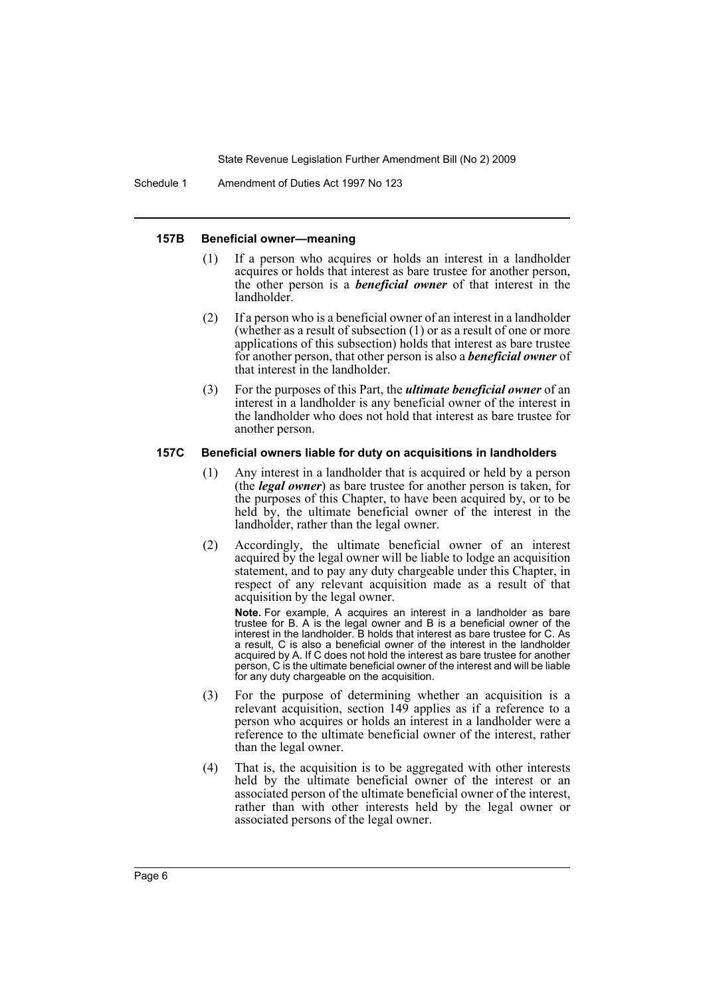Schedule 1 Amendment of Duties Act 1997 No 123

#### **157B Beneficial owner—meaning**

- (1) If a person who acquires or holds an interest in a landholder acquires or holds that interest as bare trustee for another person, the other person is a *beneficial owner* of that interest in the landholder.
- (2) If a person who is a beneficial owner of an interest in a landholder (whether as a result of subsection (1) or as a result of one or more applications of this subsection) holds that interest as bare trustee for another person, that other person is also a *beneficial owner* of that interest in the landholder.
- (3) For the purposes of this Part, the *ultimate beneficial owner* of an interest in a landholder is any beneficial owner of the interest in the landholder who does not hold that interest as bare trustee for another person.

#### **157C Beneficial owners liable for duty on acquisitions in landholders**

- (1) Any interest in a landholder that is acquired or held by a person (the *legal owner*) as bare trustee for another person is taken, for the purposes of this Chapter, to have been acquired by, or to be held by, the ultimate beneficial owner of the interest in the landholder, rather than the legal owner.
- (2) Accordingly, the ultimate beneficial owner of an interest acquired by the legal owner will be liable to lodge an acquisition statement, and to pay any duty chargeable under this Chapter, in respect of any relevant acquisition made as a result of that acquisition by the legal owner.

**Note.** For example, A acquires an interest in a landholder as bare trustee for B. A is the legal owner and B is a beneficial owner of the interest in the landholder. B holds that interest as bare trustee for C. As a result, C is also a beneficial owner of the interest in the landholder acquired by A. If C does not hold the interest as bare trustee for another person, C is the ultimate beneficial owner of the interest and will be liable for any duty chargeable on the acquisition.

- (3) For the purpose of determining whether an acquisition is a relevant acquisition, section 149 applies as if a reference to a person who acquires or holds an interest in a landholder were a reference to the ultimate beneficial owner of the interest, rather than the legal owner.
- (4) That is, the acquisition is to be aggregated with other interests held by the ultimate beneficial owner of the interest or an associated person of the ultimate beneficial owner of the interest, rather than with other interests held by the legal owner or associated persons of the legal owner.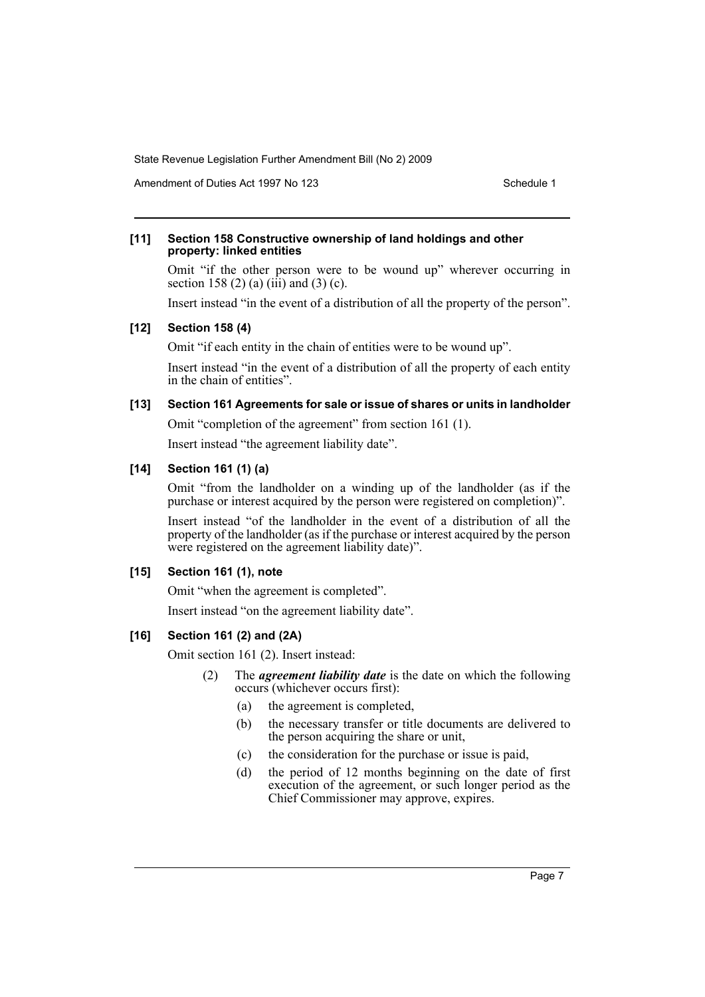Amendment of Duties Act 1997 No 123 Schedule 1

#### **[11] Section 158 Constructive ownership of land holdings and other property: linked entities**

Omit "if the other person were to be wound up" wherever occurring in section 158 (2) (a) (iii) and (3) (c).

Insert instead "in the event of a distribution of all the property of the person".

#### **[12] Section 158 (4)**

Omit "if each entity in the chain of entities were to be wound up".

Insert instead "in the event of a distribution of all the property of each entity in the chain of entities".

# **[13] Section 161 Agreements for sale or issue of shares or units in landholder**

Omit "completion of the agreement" from section 161 (1).

Insert instead "the agreement liability date".

#### **[14] Section 161 (1) (a)**

Omit "from the landholder on a winding up of the landholder (as if the purchase or interest acquired by the person were registered on completion)".

Insert instead "of the landholder in the event of a distribution of all the property of the landholder (as if the purchase or interest acquired by the person were registered on the agreement liability date)".

#### **[15] Section 161 (1), note**

Omit "when the agreement is completed".

Insert instead "on the agreement liability date".

#### **[16] Section 161 (2) and (2A)**

Omit section 161 (2). Insert instead:

- (2) The *agreement liability date* is the date on which the following occurs (whichever occurs first):
	- (a) the agreement is completed,
	- (b) the necessary transfer or title documents are delivered to the person acquiring the share or unit,
	- (c) the consideration for the purchase or issue is paid,
	- (d) the period of 12 months beginning on the date of first execution of the agreement, or such longer period as the Chief Commissioner may approve, expires.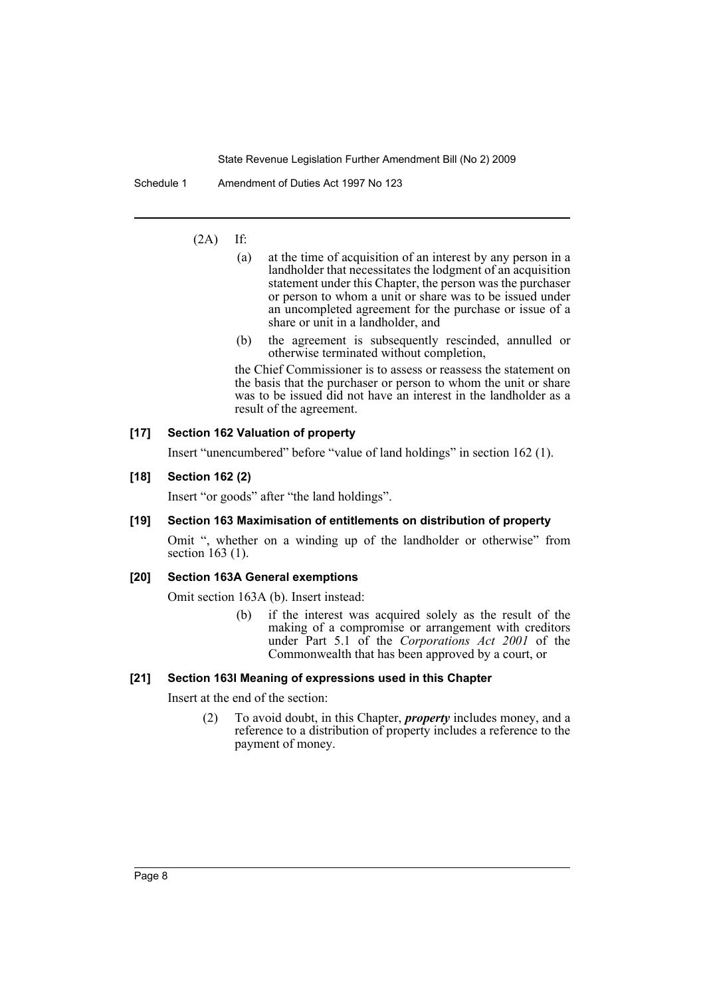Schedule 1 Amendment of Duties Act 1997 No 123

## $(2A)$  If:

- (a) at the time of acquisition of an interest by any person in a landholder that necessitates the lodgment of an acquisition statement under this Chapter, the person was the purchaser or person to whom a unit or share was to be issued under an uncompleted agreement for the purchase or issue of a share or unit in a landholder, and
- (b) the agreement is subsequently rescinded, annulled or otherwise terminated without completion,

the Chief Commissioner is to assess or reassess the statement on the basis that the purchaser or person to whom the unit or share was to be issued did not have an interest in the landholder as a result of the agreement.

#### **[17] Section 162 Valuation of property**

Insert "unencumbered" before "value of land holdings" in section 162 (1).

## **[18] Section 162 (2)**

Insert "or goods" after "the land holdings".

#### **[19] Section 163 Maximisation of entitlements on distribution of property**

Omit ", whether on a winding up of the landholder or otherwise" from section 163 (1).

# **[20] Section 163A General exemptions**

Omit section 163A (b). Insert instead:

(b) if the interest was acquired solely as the result of the making of a compromise or arrangement with creditors under Part 5.1 of the *Corporations Act 2001* of the Commonwealth that has been approved by a court, or

#### **[21] Section 163I Meaning of expressions used in this Chapter**

Insert at the end of the section:

(2) To avoid doubt, in this Chapter, *property* includes money, and a reference to a distribution of property includes a reference to the payment of money.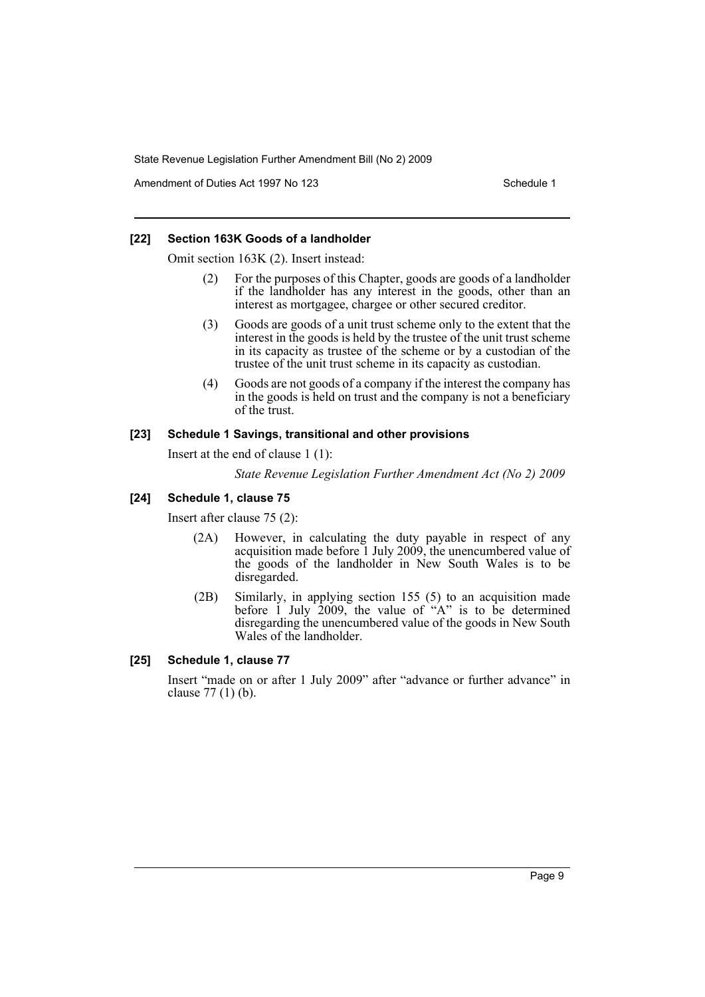Amendment of Duties Act 1997 No 123 Schedule 1

#### **[22] Section 163K Goods of a landholder**

Omit section 163K (2). Insert instead:

- (2) For the purposes of this Chapter, goods are goods of a landholder if the landholder has any interest in the goods, other than an interest as mortgagee, chargee or other secured creditor.
- (3) Goods are goods of a unit trust scheme only to the extent that the interest in the goods is held by the trustee of the unit trust scheme in its capacity as trustee of the scheme or by a custodian of the trustee of the unit trust scheme in its capacity as custodian.
- (4) Goods are not goods of a company if the interest the company has in the goods is held on trust and the company is not a beneficiary of the trust.

#### **[23] Schedule 1 Savings, transitional and other provisions**

Insert at the end of clause 1 (1):

*State Revenue Legislation Further Amendment Act (No 2) 2009*

#### **[24] Schedule 1, clause 75**

Insert after clause 75 (2):

- (2A) However, in calculating the duty payable in respect of any acquisition made before 1 July 2009, the unencumbered value of the goods of the landholder in New South Wales is to be disregarded.
- (2B) Similarly, in applying section 155 (5) to an acquisition made before  $1$  July  $2009$ , the value of "A" is to be determined disregarding the unencumbered value of the goods in New South Wales of the landholder.

#### **[25] Schedule 1, clause 77**

Insert "made on or after 1 July 2009" after "advance or further advance" in clause 77 (1) (b).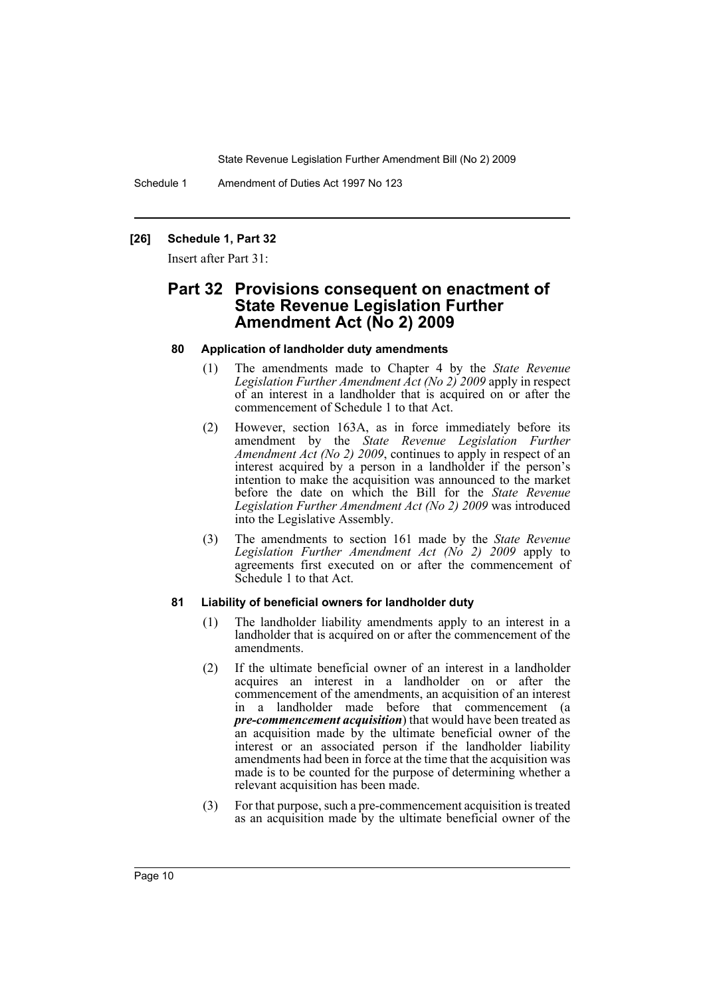Schedule 1 Amendment of Duties Act 1997 No 123

#### **[26] Schedule 1, Part 32**

Insert after Part 31:

# **Part 32 Provisions consequent on enactment of State Revenue Legislation Further Amendment Act (No 2) 2009**

#### **80 Application of landholder duty amendments**

- (1) The amendments made to Chapter 4 by the *State Revenue Legislation Further Amendment Act (No 2) 2009* apply in respect of an interest in a landholder that is acquired on or after the commencement of Schedule 1 to that Act.
- (2) However, section 163A, as in force immediately before its amendment by the *State Revenue Legislation Further Amendment Act (No 2) 2009*, continues to apply in respect of an interest acquired by a person in a landholder if the person's intention to make the acquisition was announced to the market before the date on which the Bill for the *State Revenue Legislation Further Amendment Act (No 2) 2009* was introduced into the Legislative Assembly.
- (3) The amendments to section 161 made by the *State Revenue Legislation Further Amendment Act (No 2) 2009* apply to agreements first executed on or after the commencement of Schedule 1 to that Act.

#### **81 Liability of beneficial owners for landholder duty**

- (1) The landholder liability amendments apply to an interest in a landholder that is acquired on or after the commencement of the amendments.
- (2) If the ultimate beneficial owner of an interest in a landholder acquires an interest in a landholder on or after the commencement of the amendments, an acquisition of an interest in a landholder made before that commencement (a *pre-commencement acquisition*) that would have been treated as an acquisition made by the ultimate beneficial owner of the interest or an associated person if the landholder liability amendments had been in force at the time that the acquisition was made is to be counted for the purpose of determining whether a relevant acquisition has been made.
- (3) For that purpose, such a pre-commencement acquisition is treated as an acquisition made by the ultimate beneficial owner of the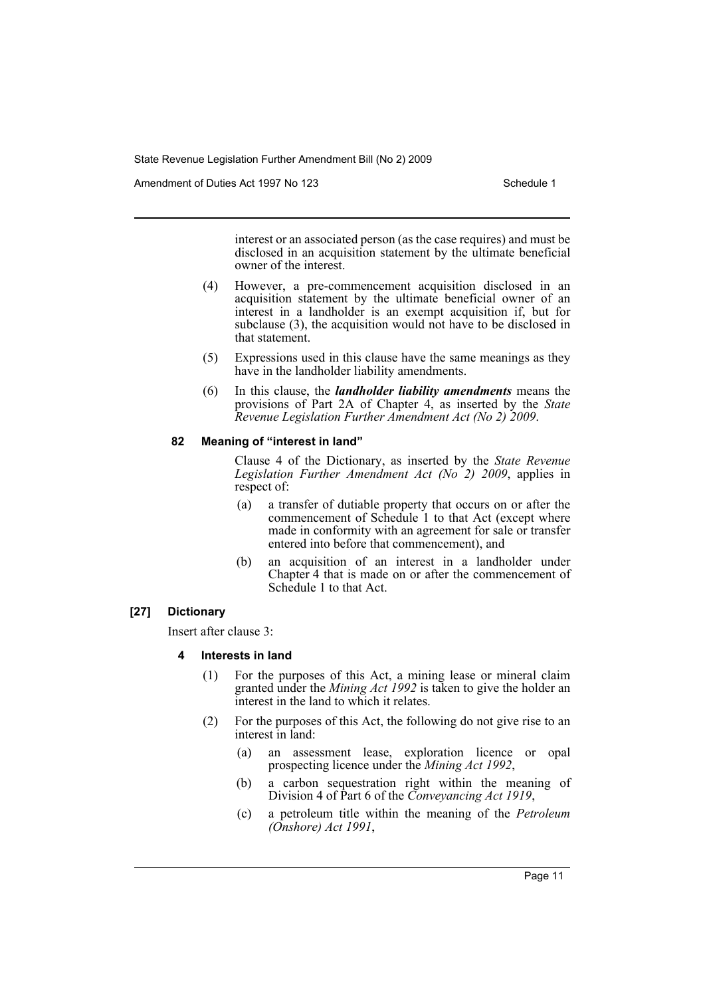Amendment of Duties Act 1997 No 123 Schedule 1

interest or an associated person (as the case requires) and must be disclosed in an acquisition statement by the ultimate beneficial owner of the interest.

- (4) However, a pre-commencement acquisition disclosed in an acquisition statement by the ultimate beneficial owner of an interest in a landholder is an exempt acquisition if, but for subclause (3), the acquisition would not have to be disclosed in that statement.
- (5) Expressions used in this clause have the same meanings as they have in the landholder liability amendments.
- (6) In this clause, the *landholder liability amendments* means the provisions of Part 2A of Chapter 4, as inserted by the *State Revenue Legislation Further Amendment Act (No 2) 2009*.

#### **82 Meaning of "interest in land"**

Clause 4 of the Dictionary, as inserted by the *State Revenue Legislation Further Amendment Act (No 2) 2009*, applies in respect of:

- (a) a transfer of dutiable property that occurs on or after the commencement of Schedule 1 to that Act (except where made in conformity with an agreement for sale or transfer entered into before that commencement), and
- (b) an acquisition of an interest in a landholder under Chapter 4 that is made on or after the commencement of Schedule 1 to that Act.

#### **[27] Dictionary**

Insert after clause 3:

- **4 Interests in land**
	- (1) For the purposes of this Act, a mining lease or mineral claim granted under the *Mining Act 1992* is taken to give the holder an interest in the land to which it relates.
	- (2) For the purposes of this Act, the following do not give rise to an interest in land:
		- (a) an assessment lease, exploration licence or opal prospecting licence under the *Mining Act 1992*,
		- (b) a carbon sequestration right within the meaning of Division 4 of Part 6 of the *Conveyancing Act 1919*,
		- (c) a petroleum title within the meaning of the *Petroleum (Onshore) Act 1991*,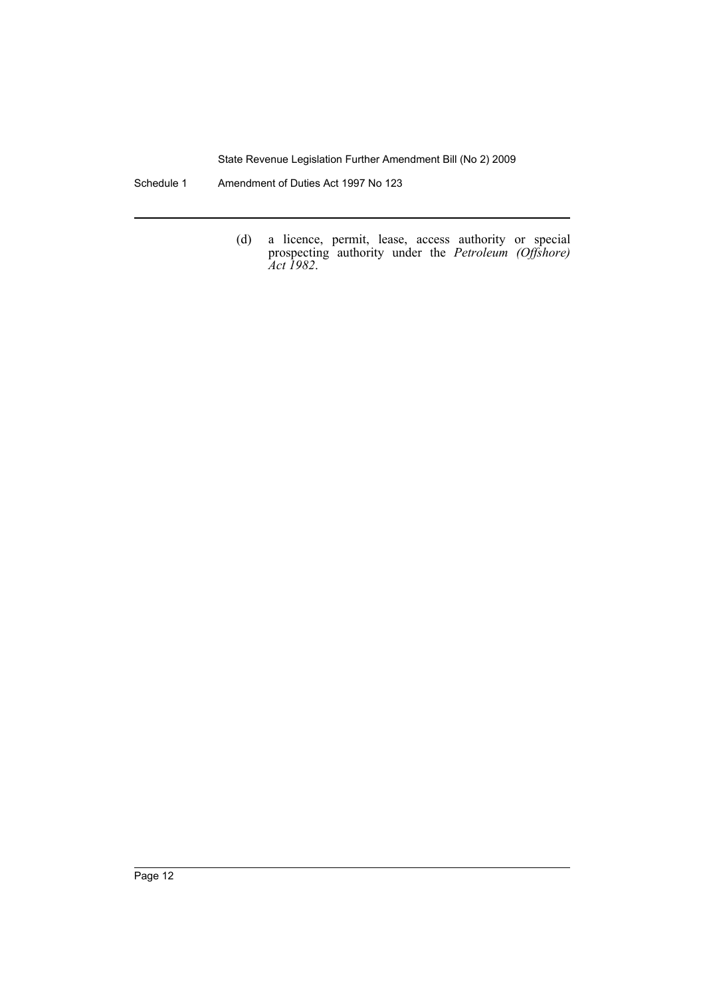Schedule 1 Amendment of Duties Act 1997 No 123

(d) a licence, permit, lease, access authority or special prospecting authority under the *Petroleum (Offshore) Act 1982*.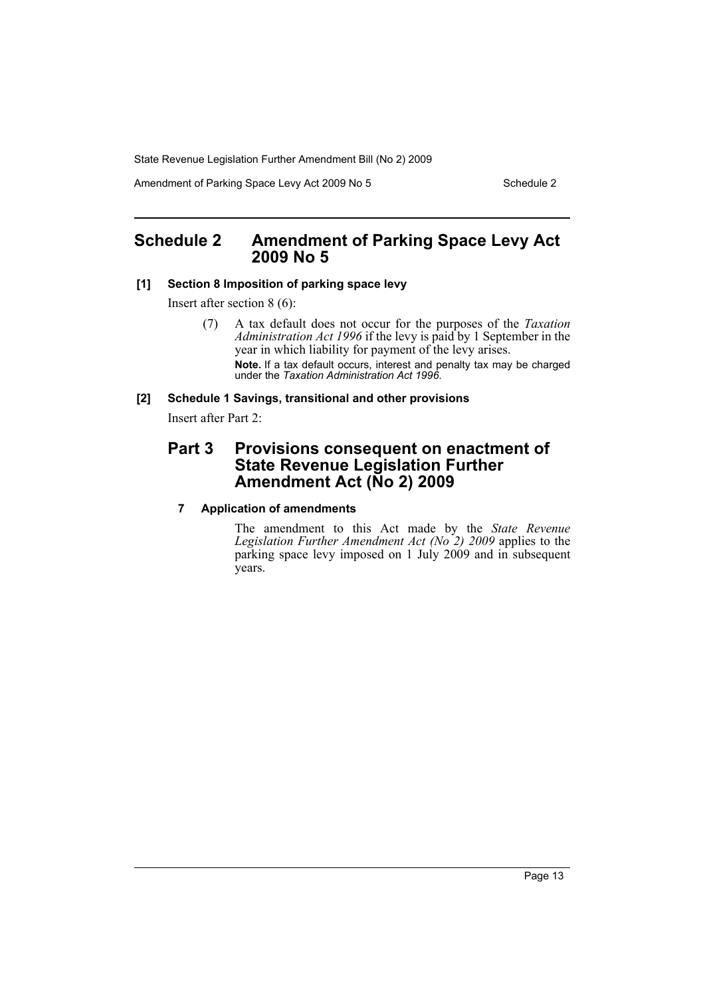Amendment of Parking Space Levy Act 2009 No 5 Schedule 2

# <span id="page-13-0"></span>**Schedule 2 Amendment of Parking Space Levy Act 2009 No 5**

# **[1] Section 8 Imposition of parking space levy**

Insert after section 8 (6):

(7) A tax default does not occur for the purposes of the *Taxation Administration Act 1996* if the levy is paid by 1 September in the year in which liability for payment of the levy arises. **Note.** If a tax default occurs, interest and penalty tax may be charged under the *Taxation Administration Act 1996*.

# **[2] Schedule 1 Savings, transitional and other provisions**

Insert after Part 2:

# **Part 3 Provisions consequent on enactment of State Revenue Legislation Further Amendment Act (No 2) 2009**

# **7 Application of amendments**

The amendment to this Act made by the *State Revenue Legislation Further Amendment Act (No 2) 2009* applies to the parking space levy imposed on 1 July 2009 and in subsequent years.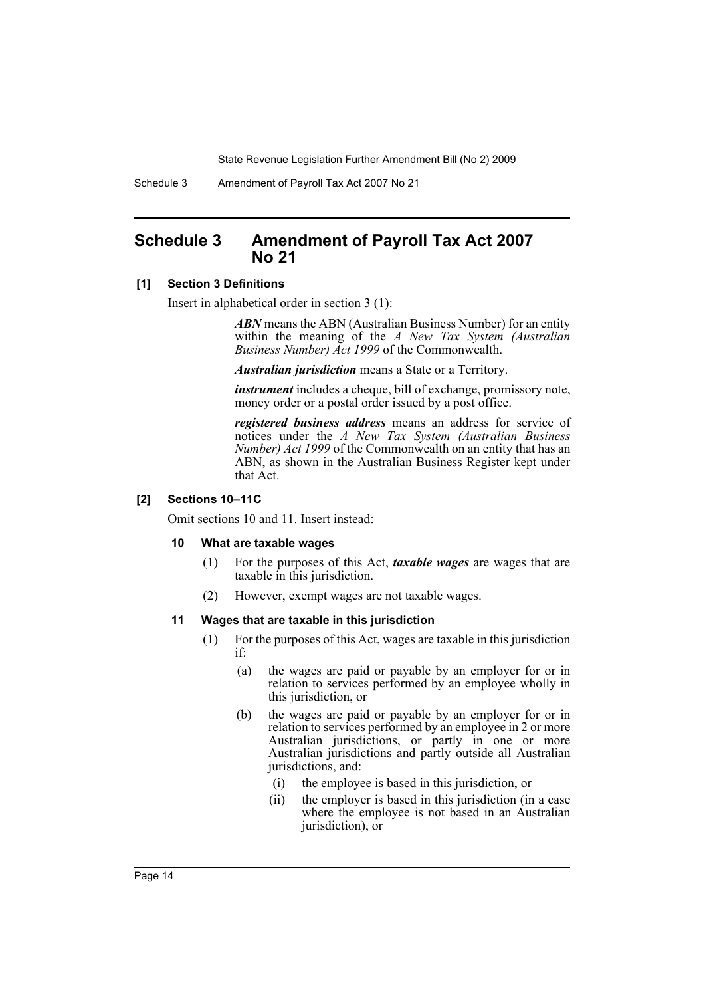Schedule 3 Amendment of Payroll Tax Act 2007 No 21

# <span id="page-14-0"></span>**Schedule 3 Amendment of Payroll Tax Act 2007 No 21**

### **[1] Section 3 Definitions**

Insert in alphabetical order in section 3 (1):

*ABN* means the ABN (Australian Business Number) for an entity within the meaning of the *A New Tax System (Australian Business Number) Act 1999* of the Commonwealth.

*Australian jurisdiction* means a State or a Territory.

*instrument* includes a cheque, bill of exchange, promissory note, money order or a postal order issued by a post office.

*registered business address* means an address for service of notices under the *A New Tax System (Australian Business Number) Act 1999* of the Commonwealth on an entity that has an ABN, as shown in the Australian Business Register kept under that Act.

## **[2] Sections 10–11C**

Omit sections 10 and 11. Insert instead:

#### **10 What are taxable wages**

- (1) For the purposes of this Act, *taxable wages* are wages that are taxable in this jurisdiction.
- (2) However, exempt wages are not taxable wages.

#### **11 Wages that are taxable in this jurisdiction**

- (1) For the purposes of this Act, wages are taxable in this jurisdiction if:
	- (a) the wages are paid or payable by an employer for or in relation to services performed by an employee wholly in this jurisdiction, or
	- (b) the wages are paid or payable by an employer for or in relation to services performed by an employee in 2 or more Australian jurisdictions, or partly in one or more Australian jurisdictions and partly outside all Australian jurisdictions, and:
		- (i) the employee is based in this jurisdiction, or
		- (ii) the employer is based in this jurisdiction (in a case where the employee is not based in an Australian jurisdiction), or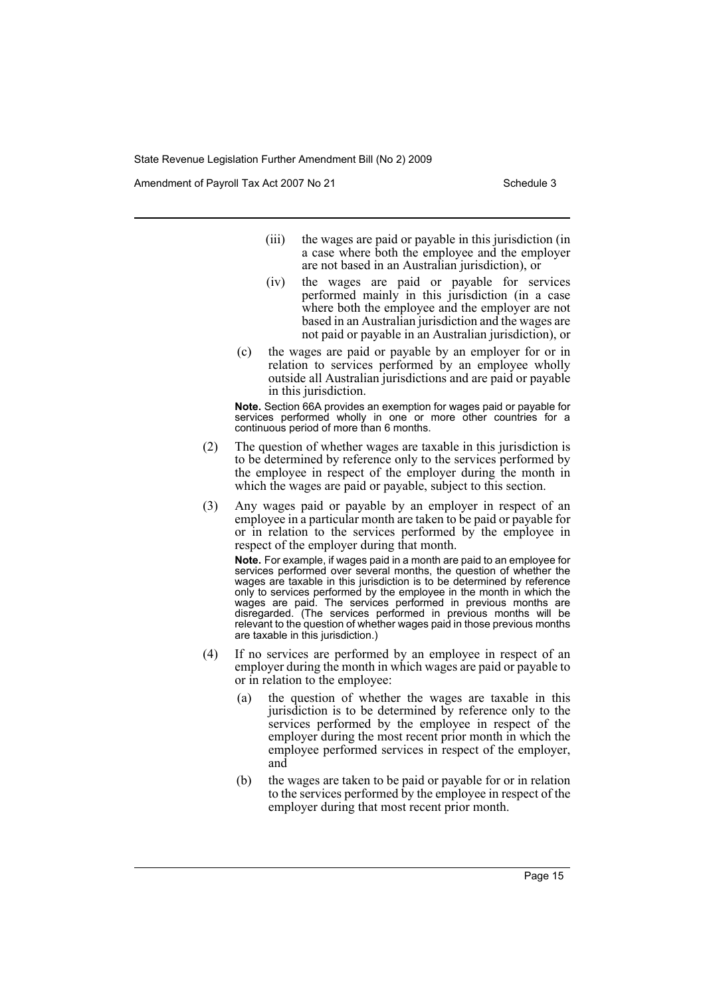Amendment of Payroll Tax Act 2007 No 21 Schedule 3

- (iii) the wages are paid or payable in this jurisdiction (in a case where both the employee and the employer are not based in an Australian jurisdiction), or
- (iv) the wages are paid or payable for services performed mainly in this jurisdiction (in a case where both the employee and the employer are not based in an Australian jurisdiction and the wages are not paid or payable in an Australian jurisdiction), or
- (c) the wages are paid or payable by an employer for or in relation to services performed by an employee wholly outside all Australian jurisdictions and are paid or payable in this jurisdiction.

**Note.** Section 66A provides an exemption for wages paid or payable for services performed wholly in one or more other countries for a continuous period of more than 6 months.

- (2) The question of whether wages are taxable in this jurisdiction is to be determined by reference only to the services performed by the employee in respect of the employer during the month in which the wages are paid or payable, subject to this section.
- (3) Any wages paid or payable by an employer in respect of an employee in a particular month are taken to be paid or payable for or in relation to the services performed by the employee in respect of the employer during that month.

**Note.** For example, if wages paid in a month are paid to an employee for services performed over several months, the question of whether the wages are taxable in this jurisdiction is to be determined by reference only to services performed by the employee in the month in which the wages are paid. The services performed in previous months are disregarded. (The services performed in previous months will be relevant to the question of whether wages paid in those previous months are taxable in this jurisdiction.)

- (4) If no services are performed by an employee in respect of an employer during the month in which wages are paid or payable to or in relation to the employee:
	- (a) the question of whether the wages are taxable in this jurisdiction is to be determined by reference only to the services performed by the employee in respect of the employer during the most recent prior month in which the employee performed services in respect of the employer, and
	- (b) the wages are taken to be paid or payable for or in relation to the services performed by the employee in respect of the employer during that most recent prior month.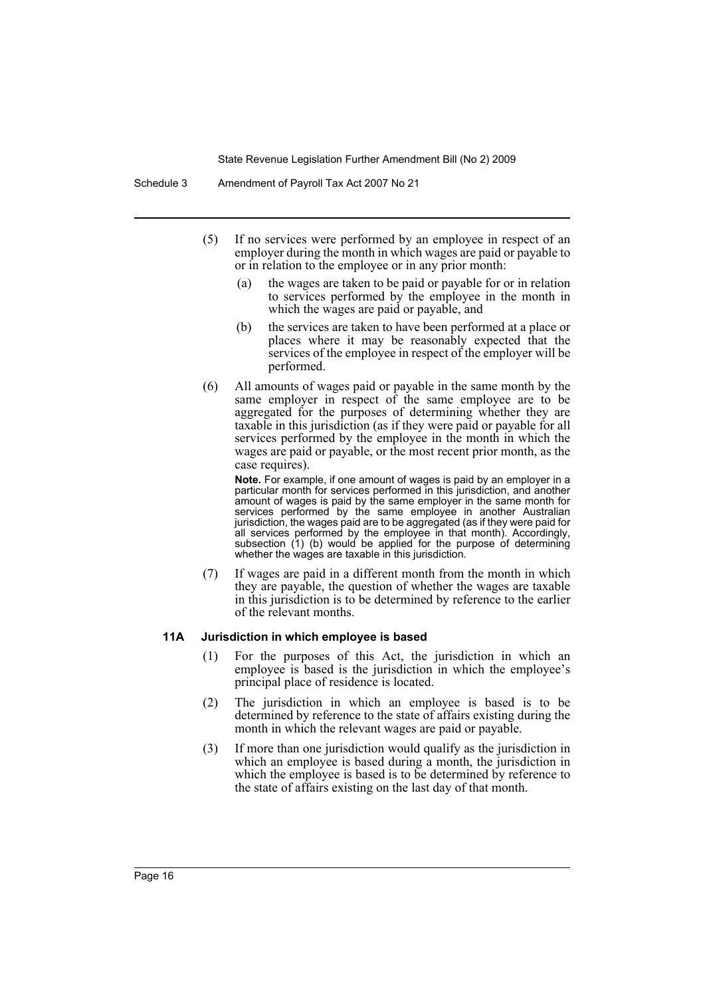- (5) If no services were performed by an employee in respect of an employer during the month in which wages are paid or payable to or in relation to the employee or in any prior month:
	- (a) the wages are taken to be paid or payable for or in relation to services performed by the employee in the month in which the wages are paid or payable, and
	- (b) the services are taken to have been performed at a place or places where it may be reasonably expected that the services of the employee in respect of the employer will be performed.
- (6) All amounts of wages paid or payable in the same month by the same employer in respect of the same employee are to be aggregated for the purposes of determining whether they are taxable in this jurisdiction (as if they were paid or payable for all services performed by the employee in the month in which the wages are paid or payable, or the most recent prior month, as the case requires).

**Note.** For example, if one amount of wages is paid by an employer in a particular month for services performed in this jurisdiction, and another amount of wages is paid by the same employer in the same month for services performed by the same employee in another Australian jurisdiction, the wages paid are to be aggregated (as if they were paid for all services performed by the employee in that month). Accordingly, subsection (1) (b) would be applied for the purpose of determining whether the wages are taxable in this jurisdiction.

(7) If wages are paid in a different month from the month in which they are payable, the question of whether the wages are taxable in this jurisdiction is to be determined by reference to the earlier of the relevant months.

#### **11A Jurisdiction in which employee is based**

- (1) For the purposes of this Act, the jurisdiction in which an employee is based is the jurisdiction in which the employee's principal place of residence is located.
- (2) The jurisdiction in which an employee is based is to be determined by reference to the state of affairs existing during the month in which the relevant wages are paid or payable.
- (3) If more than one jurisdiction would qualify as the jurisdiction in which an employee is based during a month, the jurisdiction in which the employee is based is to be determined by reference to the state of affairs existing on the last day of that month.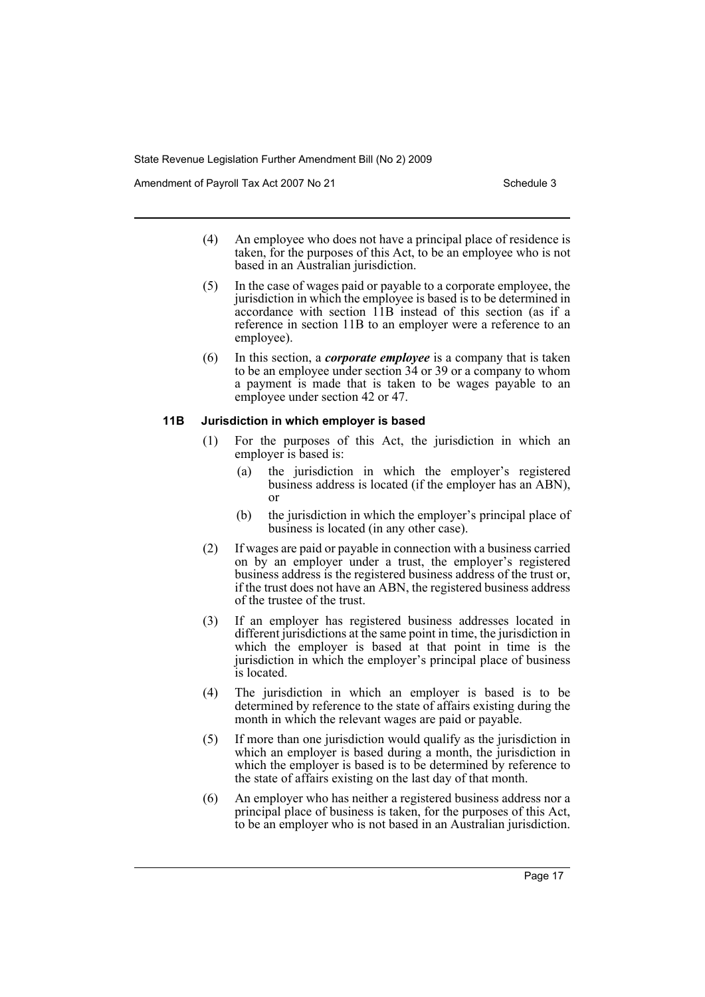Amendment of Payroll Tax Act 2007 No 21 Schedule 3

- (4) An employee who does not have a principal place of residence is taken, for the purposes of this Act, to be an employee who is not based in an Australian jurisdiction.
- (5) In the case of wages paid or payable to a corporate employee, the jurisdiction in which the employee is based is to be determined in accordance with section 11B instead of this section (as if a reference in section 11B to an employer were a reference to an employee).
- (6) In this section, a *corporate employee* is a company that is taken to be an employee under section 34 or 39 or a company to whom a payment is made that is taken to be wages payable to an employee under section 42 or 47.

#### **11B Jurisdiction in which employer is based**

- (1) For the purposes of this Act, the jurisdiction in which an employer is based is:
	- (a) the jurisdiction in which the employer's registered business address is located (if the employer has an ABN), or
	- (b) the jurisdiction in which the employer's principal place of business is located (in any other case).
- (2) If wages are paid or payable in connection with a business carried on by an employer under a trust, the employer's registered business address is the registered business address of the trust or, if the trust does not have an ABN, the registered business address of the trustee of the trust.
- (3) If an employer has registered business addresses located in different jurisdictions at the same point in time, the jurisdiction in which the employer is based at that point in time is the jurisdiction in which the employer's principal place of business is located.
- (4) The jurisdiction in which an employer is based is to be determined by reference to the state of affairs existing during the month in which the relevant wages are paid or payable.
- (5) If more than one jurisdiction would qualify as the jurisdiction in which an employer is based during a month, the jurisdiction in which the employer is based is to be determined by reference to the state of affairs existing on the last day of that month.
- (6) An employer who has neither a registered business address nor a principal place of business is taken, for the purposes of this Act, to be an employer who is not based in an Australian jurisdiction.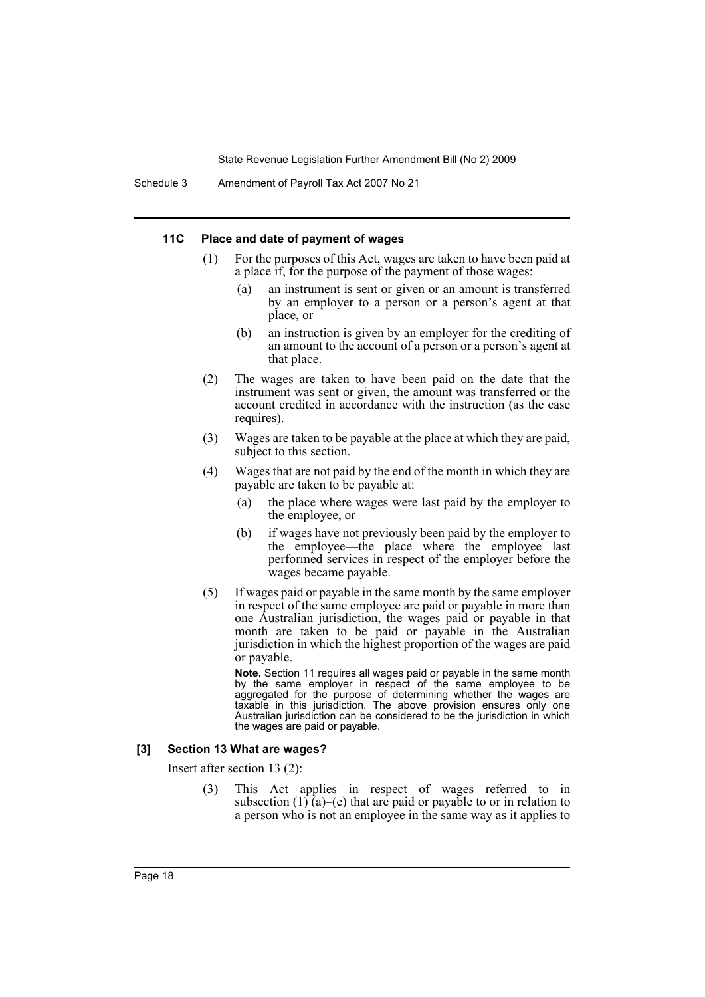#### **11C Place and date of payment of wages**

- (1) For the purposes of this Act, wages are taken to have been paid at a place if, for the purpose of the payment of those wages:
	- (a) an instrument is sent or given or an amount is transferred by an employer to a person or a person's agent at that place, or
	- (b) an instruction is given by an employer for the crediting of an amount to the account of a person or a person's agent at that place.
- (2) The wages are taken to have been paid on the date that the instrument was sent or given, the amount was transferred or the account credited in accordance with the instruction (as the case requires).
- (3) Wages are taken to be payable at the place at which they are paid, subject to this section.
- (4) Wages that are not paid by the end of the month in which they are payable are taken to be payable at:
	- (a) the place where wages were last paid by the employer to the employee, or
	- (b) if wages have not previously been paid by the employer to the employee—the place where the employee last performed services in respect of the employer before the wages became payable.
- (5) If wages paid or payable in the same month by the same employer in respect of the same employee are paid or payable in more than one Australian jurisdiction, the wages paid or payable in that month are taken to be paid or payable in the Australian jurisdiction in which the highest proportion of the wages are paid or payable.

**Note.** Section 11 requires all wages paid or payable in the same month by the same employer in respect of the same employee to be aggregated for the purpose of determining whether the wages are taxable in this jurisdiction. The above provision ensures only one Australian jurisdiction can be considered to be the jurisdiction in which the wages are paid or payable.

#### **[3] Section 13 What are wages?**

Insert after section 13 (2):

(3) This Act applies in respect of wages referred to in subsection  $(1)$  (a)–(e) that are paid or payable to or in relation to a person who is not an employee in the same way as it applies to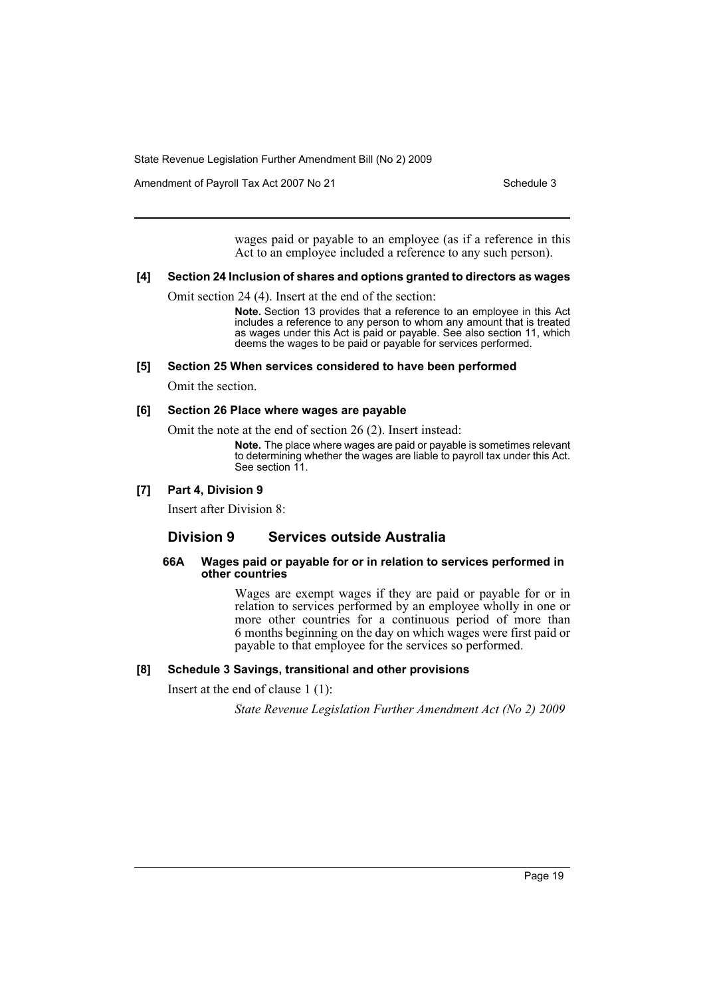Amendment of Payroll Tax Act 2007 No 21 Schedule 3

wages paid or payable to an employee (as if a reference in this Act to an employee included a reference to any such person).

#### **[4] Section 24 Inclusion of shares and options granted to directors as wages**

Omit section 24 (4). Insert at the end of the section:

**Note.** Section 13 provides that a reference to an employee in this Act includes a reference to any person to whom any amount that is treated as wages under this Act is paid or payable. See also section 11, which deems the wages to be paid or payable for services performed.

#### **[5] Section 25 When services considered to have been performed**

Omit the section.

#### **[6] Section 26 Place where wages are payable**

Omit the note at the end of section 26 (2). Insert instead:

**Note.** The place where wages are paid or payable is sometimes relevant to determining whether the wages are liable to payroll tax under this Act. See section 11.

#### **[7] Part 4, Division 9**

Insert after Division 8:

# **Division 9 Services outside Australia**

#### **66A Wages paid or payable for or in relation to services performed in other countries**

Wages are exempt wages if they are paid or payable for or in relation to services performed by an employee wholly in one or more other countries for a continuous period of more than 6 months beginning on the day on which wages were first paid or payable to that employee for the services so performed.

#### **[8] Schedule 3 Savings, transitional and other provisions**

Insert at the end of clause 1 (1):

*State Revenue Legislation Further Amendment Act (No 2) 2009*